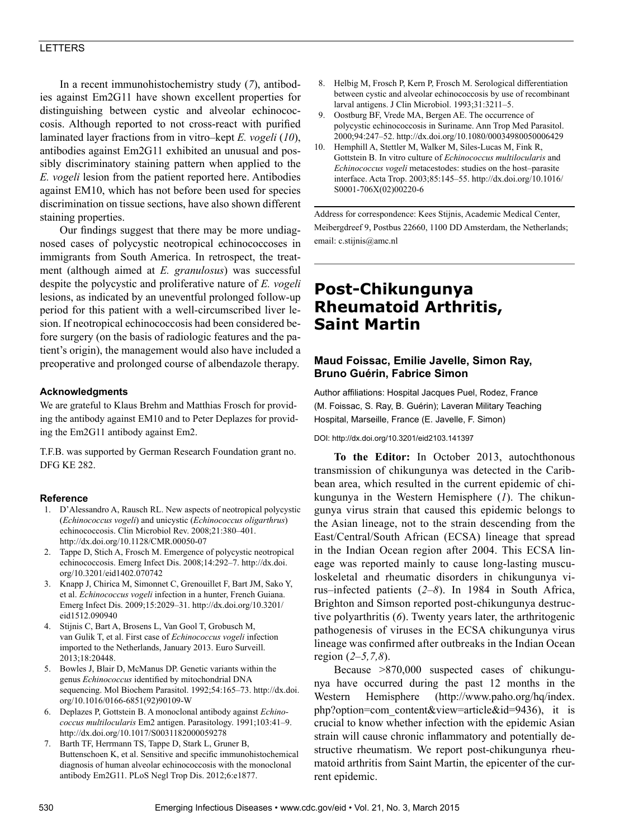## LETTERS

In a recent immunohistochemistry study (*7*), antibodies against Em2G11 have shown excellent properties for distinguishing between cystic and alveolar echinococcosis. Although reported to not cross-react with purified laminated layer fractions from in vitro–kept *E. vogeli* (*10*), antibodies against Em2G11 exhibited an unusual and possibly discriminatory staining pattern when applied to the *E. vogeli* lesion from the patient reported here. Antibodies against EM10, which has not before been used for species discrimination on tissue sections, have also shown different staining properties.

Our findings suggest that there may be more undiagnosed cases of polycystic neotropical echinococcoses in immigrants from South America. In retrospect, the treatment (although aimed at *E. granulosus*) was successful despite the polycystic and proliferative nature of *E. vogeli* lesions, as indicated by an uneventful prolonged follow-up period for this patient with a well-circumscribed liver lesion. If neotropical echinococcosis had been considered before surgery (on the basis of radiologic features and the patient's origin), the management would also have included a preoperative and prolonged course of albendazole therapy.

# **Acknowledgments**

We are grateful to Klaus Brehm and Matthias Frosch for providing the antibody against EM10 and to Peter Deplazes for providing the Em2G11 antibody against Em2.

T.F.B. was supported by German Research Foundation grant no. DFG KE 282.

## **Reference**

- 1. D'Alessandro A, Rausch RL. New aspects of neotropical polycystic (*Echinococcus vogeli*) and unicystic (*Echinococcus oligarthrus*) echinococcosis. Clin Microbiol Rev. 2008;21:380–401. http://dx.doi.org/10.1128/CMR.00050-07
- 2. Tappe D, Stich A, Frosch M. Emergence of polycystic neotropical echinococcosis. Emerg Infect Dis. 2008;14:292–7. http://dx.doi. org/10.3201/eid1402.070742
- 3. Knapp J, Chirica M, Simonnet C, Grenouillet F, Bart JM, Sako Y, et al. *Echinococcus vogeli* infection in a hunter, French Guiana. Emerg Infect Dis. 2009;15:2029–31. http://dx.doi.org/10.3201/ eid1512.090940
- 4. Stijnis C, Bart A, Brosens L, Van Gool T, Grobusch M, van Gulik T, et al. First case of *Echinococcus vogeli* infection imported to the Netherlands, January 2013. Euro Surveill. 2013;18:20448.
- 5. Bowles J, Blair D, McManus DP. Genetic variants within the genus *Echinococcus* identified by mitochondrial DNA sequencing. Mol Biochem Parasitol. 1992;54:165–73. http://dx.doi. org/10.1016/0166-6851(92)90109-W
- 6. Deplazes P, Gottstein B. A monoclonal antibody against *Echinococcus multilocularis* Em2 antigen. Parasitology. 1991;103:41–9. http://dx.doi.org/10.1017/S0031182000059278
- 7. Barth TF, Herrmann TS, Tappe D, Stark L, Gruner B, Buttenschoen K, et al. Sensitive and specific immunohistochemical diagnosis of human alveolar echinococcosis with the monoclonal antibody Em2G11. PLoS Negl Trop Dis. 2012;6:e1877.
- 8. Helbig M, Frosch P, Kern P, Frosch M. Serological differentiation between cystic and alveolar echinococcosis by use of recombinant larval antigens. J Clin Microbiol. 1993;31:3211–5.
- 9. Oostburg BF, Vrede MA, Bergen AE. The occurrence of polycystic echinococcosis in Suriname. Ann Trop Med Parasitol. 2000;94:247–52. http://dx.doi.org/10.1080/00034980050006429
- 10. Hemphill A, Stettler M, Walker M, Siles-Lucas M, Fink R, Gottstein B. In vitro culture of *Echinococcus multilocularis* and *Echinococcus vogeli* metacestodes: studies on the host–parasite interface. Acta Trop. 2003;85:145–55. http://dx.doi.org/10.1016/ S0001-706X(02)00220-6

Address for correspondence: Kees Stijnis, Academic Medical Center, Meibergdreef 9, Postbus 22660, 1100 DD Amsterdam, the Netherlands; email: c.stijnis@amc.nl

# **Post-Chikungunya Rheumatoid Arthritis, Saint Martin**

# **Maud Foissac, Emilie Javelle, Simon Ray, Bruno Guérin, Fabrice Simon**

Author affiliations: Hospital Jacques Puel, Rodez, France (M. Foissac, S. Ray, B. Guérin); Laveran Military Teaching Hospital, Marseille, France (E. Javelle, F. Simon)

#### DOI: http://dx.doi.org/10.3201/eid2103.141397

**To the Editor:** In October 2013, autochthonous transmission of chikungunya was detected in the Caribbean area, which resulted in the current epidemic of chikungunya in the Western Hemisphere (*1*). The chikungunya virus strain that caused this epidemic belongs to the Asian lineage, not to the strain descending from the East/Central/South African (ECSA) lineage that spread in the Indian Ocean region after 2004. This ECSA lineage was reported mainly to cause long-lasting musculoskeletal and rheumatic disorders in chikungunya virus–infected patients (*2–8*). In 1984 in South Africa, Brighton and Simson reported post-chikungunya destructive polyarthritis (*6*). Twenty years later, the arthritogenic pathogenesis of viruses in the ECSA chikungunya virus lineage was confirmed after outbreaks in the Indian Ocean region (*2–5,7,8*).

Because >870,000 suspected cases of chikungunya have occurred during the past 12 months in the Western Hemisphere (http://www.paho.org/hq/index. php?option=com\_content&view=article&id=9436), it is crucial to know whether infection with the epidemic Asian strain will cause chronic inflammatory and potentially destructive rheumatism. We report post-chikungunya rheumatoid arthritis from Saint Martin, the epicenter of the current epidemic.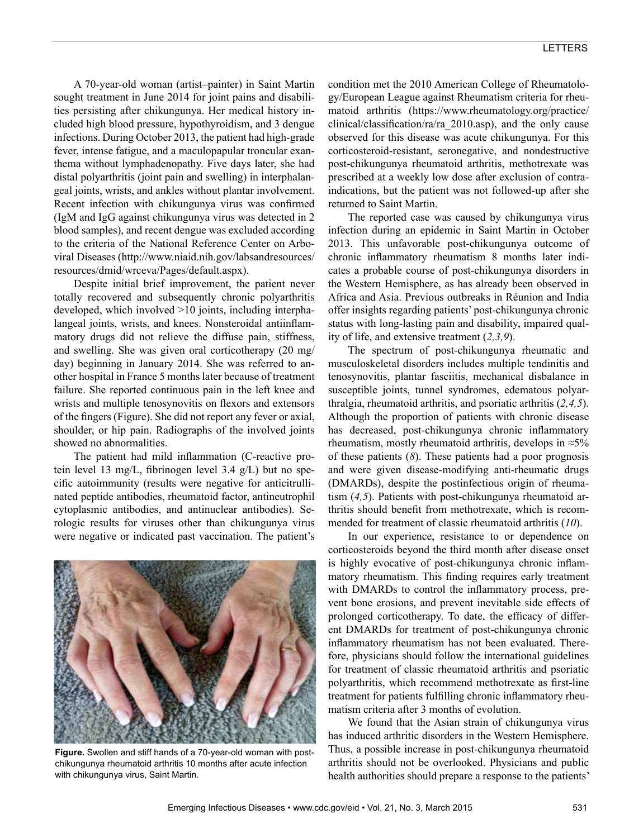A 70-year-old woman (artist–painter) in Saint Martin sought treatment in June 2014 for joint pains and disabilities persisting after chikungunya. Her medical history included high blood pressure, hypothyroidism, and 3 dengue infections. During October 2013, the patient had high-grade fever, intense fatigue, and a maculopapular troncular exanthema without lymphadenopathy. Five days later, she had distal polyarthritis (joint pain and swelling) in interphalangeal joints, wrists, and ankles without plantar involvement. Recent infection with chikungunya virus was confirmed (IgM and IgG against chikungunya virus was detected in 2 blood samples), and recent dengue was excluded according to the criteria of the National Reference Center on Arboviral Diseases (http://www.niaid.nih.gov/labsandresources/ resources/dmid/wrceva/Pages/default.aspx).

Despite initial brief improvement, the patient never totally recovered and subsequently chronic polyarthritis developed, which involved >10 joints, including interphalangeal joints, wrists, and knees. Nonsteroidal antiinflammatory drugs did not relieve the diffuse pain, stiffness, and swelling. She was given oral corticotherapy (20 mg/ day) beginning in January 2014. She was referred to another hospital in France 5 months later because of treatment failure. She reported continuous pain in the left knee and wrists and multiple tenosynovitis on flexors and extensors of the fingers (Figure). She did not report any fever or axial, shoulder, or hip pain. Radiographs of the involved joints showed no abnormalities.

The patient had mild inflammation (C-reactive protein level 13 mg/L, fibrinogen level 3.4 g/L) but no specific autoimmunity (results were negative for anticitrullinated peptide antibodies, rheumatoid factor, antineutrophil cytoplasmic antibodies, and antinuclear antibodies). Serologic results for viruses other than chikungunya virus were negative or indicated past vaccination. The patient's



**Figure.** Swollen and stiff hands of a 70-year-old woman with postchikungunya rheumatoid arthritis 10 months after acute infection with chikungunya virus, Saint Martin.

condition met the 2010 American College of Rheumatology/European League against Rheumatism criteria for rheumatoid arthritis (https://www.rheumatology.org/practice/ clinical/classification/ra/ra\_2010.asp), and the only cause observed for this disease was acute chikungunya. For this corticosteroid-resistant, seronegative, and nondestructive post-chikungunya rheumatoid arthritis, methotrexate was prescribed at a weekly low dose after exclusion of contraindications, but the patient was not followed-up after she returned to Saint Martin.

The reported case was caused by chikungunya virus infection during an epidemic in Saint Martin in October 2013. This unfavorable post-chikungunya outcome of chronic inflammatory rheumatism 8 months later indicates a probable course of post-chikungunya disorders in the Western Hemisphere, as has already been observed in Africa and Asia. Previous outbreaks in Réunion and India offer insights regarding patients' post-chikungunya chronic status with long-lasting pain and disability, impaired quality of life, and extensive treatment (*2,3,9*).

The spectrum of post-chikungunya rheumatic and musculoskeletal disorders includes multiple tendinitis and tenosynovitis, plantar fasciitis, mechanical disbalance in susceptible joints, tunnel syndromes, edematous polyarthralgia, rheumatoid arthritis, and psoriatic arthritis (*2,4,5*). Although the proportion of patients with chronic disease has decreased, post-chikungunya chronic inflammatory rheumatism, mostly rheumatoid arthritis, develops in  $\approx$ 5% of these patients (*8*). These patients had a poor prognosis and were given disease-modifying anti-rheumatic drugs (DMARDs), despite the postinfectious origin of rheumatism (*4,5*). Patients with post-chikungunya rheumatoid arthritis should benefit from methotrexate, which is recommended for treatment of classic rheumatoid arthritis (*10*).

In our experience, resistance to or dependence on corticosteroids beyond the third month after disease onset is highly evocative of post-chikungunya chronic inflammatory rheumatism. This finding requires early treatment with DMARDs to control the inflammatory process, prevent bone erosions, and prevent inevitable side effects of prolonged corticotherapy. To date, the efficacy of different DMARDs for treatment of post-chikungunya chronic inflammatory rheumatism has not been evaluated. Therefore, physicians should follow the international guidelines for treatment of classic rheumatoid arthritis and psoriatic polyarthritis, which recommend methotrexate as first-line treatment for patients fulfilling chronic inflammatory rheumatism criteria after 3 months of evolution.

We found that the Asian strain of chikungunya virus has induced arthritic disorders in the Western Hemisphere. Thus, a possible increase in post-chikungunya rheumatoid arthritis should not be overlooked. Physicians and public health authorities should prepare a response to the patients'